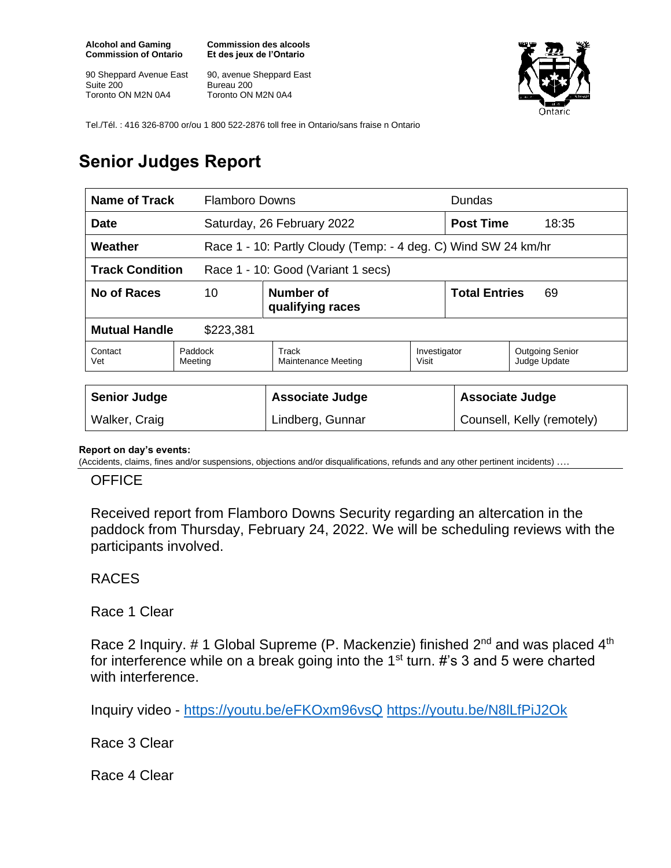**Alcohol and Gaming Commission of Ontario**

90 Sheppard Avenue East Suite 200 Toronto ON M2N 0A4

**Commission des alcools Et des jeux de l'Ontario**

90, avenue Sheppard East Bureau 200 Toronto ON M2N 0A4



Tel./Tél. : 416 326-8700 or/ou 1 800 522-2876 toll free in Ontario/sans fraise n Ontario

## **Senior Judges Report**

| <b>Name of Track</b><br><b>Flamboro Downs</b>                |                    |                                                                |                       | <b>Dundas</b>              |                                        |  |
|--------------------------------------------------------------|--------------------|----------------------------------------------------------------|-----------------------|----------------------------|----------------------------------------|--|
| <b>Date</b>                                                  |                    | Saturday, 26 February 2022                                     |                       | <b>Post Time</b>           | 18:35                                  |  |
| Weather                                                      |                    | Race 1 - 10: Partly Cloudy (Temp: - 4 deg. C) Wind SW 24 km/hr |                       |                            |                                        |  |
| <b>Track Condition</b><br>Race 1 - 10: Good (Variant 1 secs) |                    |                                                                |                       |                            |                                        |  |
| <b>No of Races</b><br>10                                     |                    | Number of<br>qualifying races                                  |                       | <b>Total Entries</b><br>69 |                                        |  |
| <b>Mutual Handle</b><br>\$223,381                            |                    |                                                                |                       |                            |                                        |  |
| Contact<br>Vet                                               | Paddock<br>Meeting | Track<br><b>Maintenance Meeting</b>                            | Investigator<br>Visit |                            | <b>Outgoing Senior</b><br>Judge Update |  |
|                                                              |                    |                                                                |                       |                            |                                        |  |
| <b>Senior Judge</b>                                          |                    | <b>Associate Judge</b>                                         |                       | <b>Associate Judge</b>     |                                        |  |
| Walker, Craig                                                |                    | Lindberg, Gunnar                                               |                       |                            | Counsell, Kelly (remotely)             |  |

## **Report on day's events:**

(Accidents, claims, fines and/or suspensions, objections and/or disqualifications, refunds and any other pertinent incidents) ….

## **OFFICE**

Received report from Flamboro Downs Security regarding an altercation in the paddock from Thursday, February 24, 2022. We will be scheduling reviews with the participants involved.

## RACES

Race 1 Clear

Race 2 Inquiry. # 1 Global Supreme (P. Mackenzie) finished  $2^{nd}$  and was placed  $4^{th}$ for interference while on a break going into the 1<sup>st</sup> turn. #'s 3 and 5 were charted with interference.

Inquiry video - <https://youtu.be/eFKOxm96vsQ> <https://youtu.be/N8lLfPiJ2Ok>

Race 3 Clear

Race 4 Clear